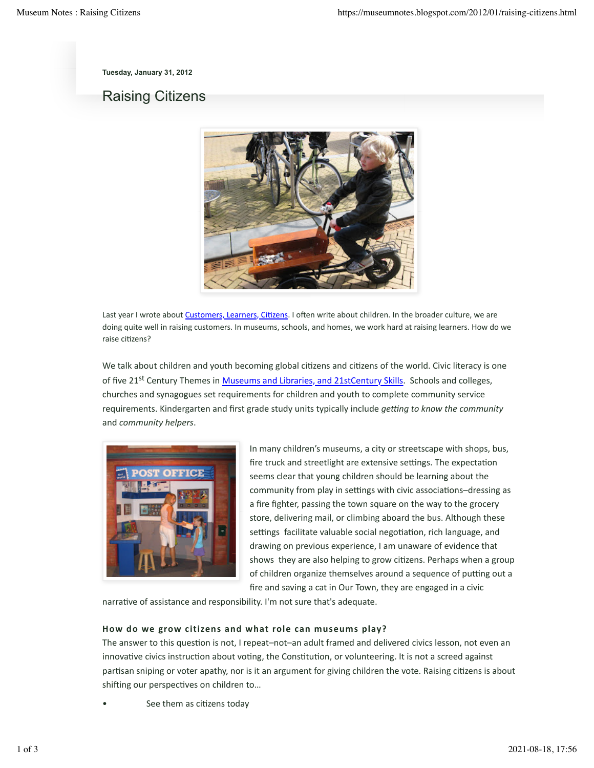**Tuesday, January 31, 2012**

# Raising Citizens



Last year I wrote about Customers, Learners, Citizens. I often write about children. In the broader culture, we are doing quite well in raising customers. In museums, schools, and homes, we work hard at raising learners. How do we raise citizens?

We talk about children and youth becoming global citizens and citizens of the world. Civic literacy is one of five 21<sup>st</sup> Century Themes in Museums and Libraries, and 21stCentury Skills. Schools and colleges, churches and synagogues set requirements for children and youth to complete community service requirements. Kindergarten and first grade study units typically include *getting to know the community* and *community helpers*.



In many children's museums, a city or streetscape with shops, bus, fire truck and streetlight are extensive settings. The expectation seems clear that young children should be learning about the community from play in settings with civic associations-dressing as a fire fighter, passing the town square on the way to the grocery store, delivering mail, or climbing aboard the bus. Although these settings facilitate valuable social negotiation, rich language, and drawing on previous experience, I am unaware of evidence that shows they are also helping to grow citizens. Perhaps when a group of children organize themselves around a sequence of putting out a fire and saving a cat in Our Town, they are engaged in a civic

narrative of assistance and responsibility. I'm not sure that's adequate.

#### How do we grow citizens and what role can museums play?

The answer to this question is not, I repeat–not–an adult framed and delivered civics lesson, not even an innovative civics instruction about voting, the Constitution, or volunteering. It is not a screed against partisan sniping or voter apathy, nor is it an argument for giving children the vote. Raising citizens is about shifting our perspectives on children to...

See them as citizens today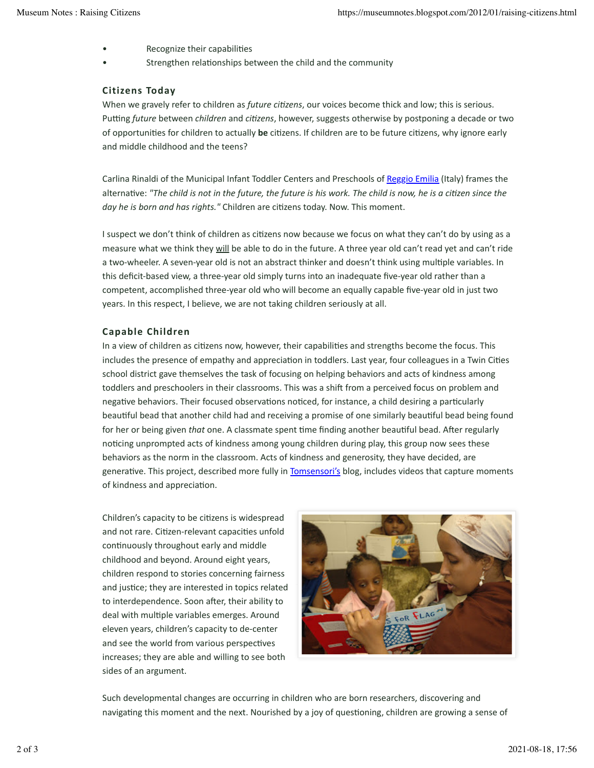- Recognize their capabilities
- Strengthen relationships between the child and the community

## **Citizens Today**

When we gravely refer to children as *future citizens*, our voices become thick and low; this is serious. Putting *future* between *children* and *citizens*, however, suggests otherwise by postponing a decade or two of opportunities for children to actually be citizens. If children are to be future citizens, why ignore early and middle childhood and the teens?

Carlina Rinaldi of the Municipal Infant Toddler Centers and Preschools of Reggio Emilia (Italy) frames the alternative: "The child is not in the future, the future is his work. The child is now, he is a citizen since the day he is born and has rights." Children are citizens today. Now. This moment.

I suspect we don't think of children as citizens now because we focus on what they can't do by using as a measure what we think they will be able to do in the future. A three year old can't read yet and can't ride a two-wheeler. A seven-year old is not an abstract thinker and doesn't think using multiple variables. In this deficit-based view, a three-year old simply turns into an inadequate five-year old rather than a competent, accomplished three-year old who will become an equally capable five-year old in just two years. In this respect, I believe, we are not taking children seriously at all.

#### **Capable Children**

In a view of children as citizens now, however, their capabilities and strengths become the focus. This includes the presence of empathy and appreciation in toddlers. Last year, four colleagues in a Twin Cities school district gave themselves the task of focusing on helping behaviors and acts of kindness among toddlers and preschoolers in their classrooms. This was a shift from a perceived focus on problem and negative behaviors. Their focused observations noticed, for instance, a child desiring a particularly beautiful bead that another child had and receiving a promise of one similarly beautiful bead being found for her or being given *that* one. A classmate spent time finding another beautiful bead. After regularly noticing unprompted acts of kindness among young children during play, this group now sees these behaviors as the norm in the classroom. Acts of kindness and generosity, they have decided, are generative. This project, described more fully in Tomsensori's blog, includes videos that capture moments of kindness and appreciation.

Children's capacity to be citizens is widespread and not rare. Citizen-relevant capacities unfold continuously throughout early and middle childhood and beyond. Around eight years, children respond to stories concerning fairness and justice; they are interested in topics related to interdependence. Soon after, their ability to deal with multiple variables emerges. Around eleven years, children's capacity to de-center and see the world from various perspectives increases; they are able and willing to see both sides of an argument.



Such developmental changes are occurring in children who are born researchers, discovering and navigating this moment and the next. Nourished by a joy of questioning, children are growing a sense of